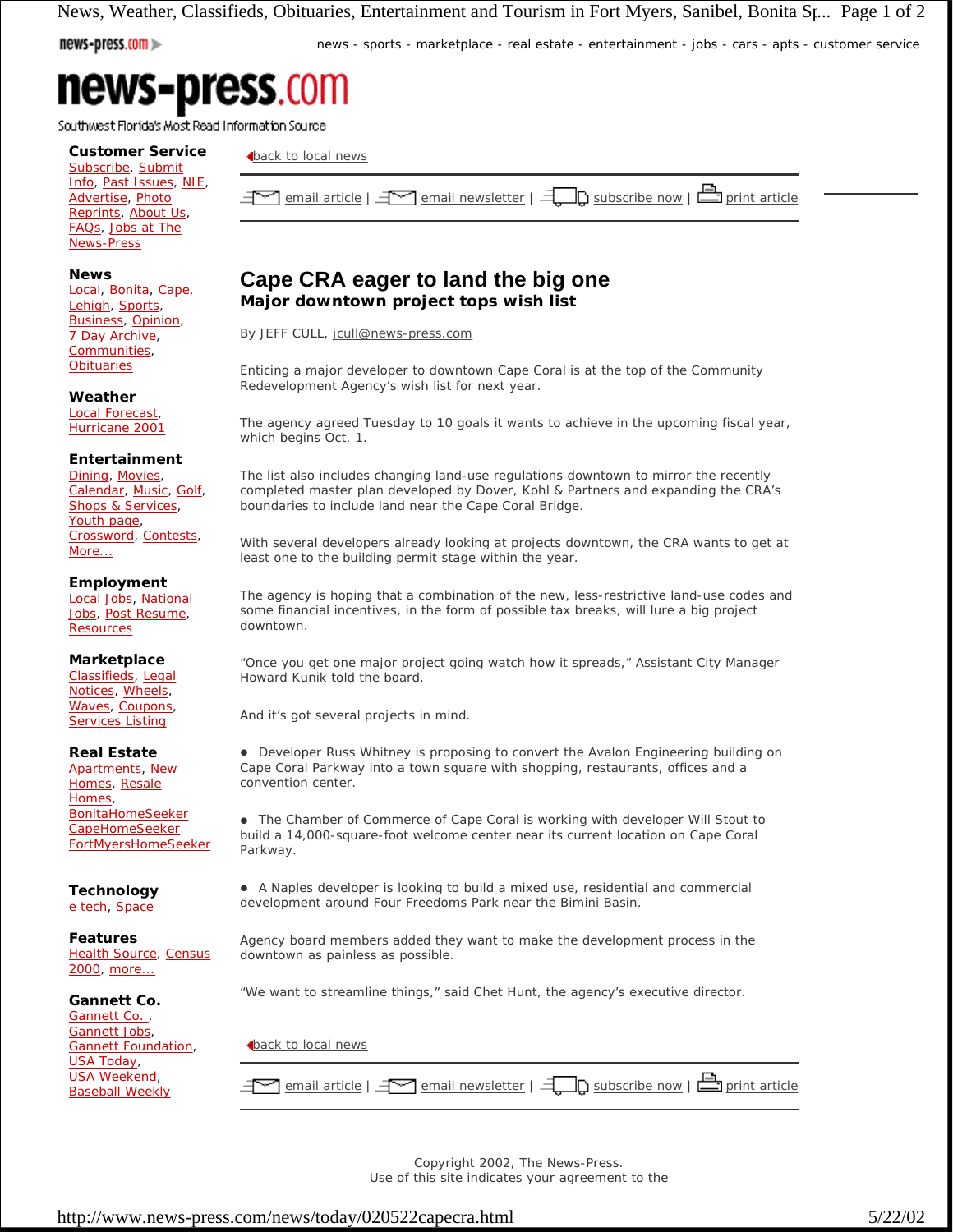News, Weather, Classifieds, Obituaries, Entertainment and Tourism in Fort Myers, Sanibel, Bonita St... Page 1 of 2

news-press.com

news - sports - marketplace - real estate - entertainment - jobs - cars - apts - customer service

Southwest Florida's Most Read Information Source

**Customer Service** Subscribe, Submit Info, Past Issues, NIE, Advertise, Photo Reprints, About Us, FAQs, Jobs at The News-Press

### **News**

Local, Bonita, Cape, Lehigh, Sports, Business, Opinion, 7 Day Archive, Communities, **Obituaries** 

### **Weather**

Local Forecast, Hurricane 2001

# **Entertainment**

Dining, Movies, Calendar, Music, Golf, Shops & Services, Youth page, Crossword, Contests, More...

# **Employment**

Local Jobs, National Jobs, Post Resume, **Resources** 

**Marketplace** Classifieds, Legal Notices, Wheels, Waves, Coupons, **Services Listing** 

**Real Estate** Apartments, New Homes, Resale Homes, **BonitaHomeSeeker** CapeHomeSeeker FortMyersHomeSeeker

**Technology** e tech, Space

**Features** Health Source, Census 2000, more...

**Gannett Co.**

Gannett Co., Gannett Jobs, Gannett Foundation, USA Today, USA Weekend, Baseball Weekly

back to local news

 $\le$  email article |  $\le$  email newsletter |  $\exists$  subscribe now |  $\triangle$  print article

# **Cape CRA eager to land the big one Major downtown project tops wish list**

By JEFF CULL, jcull@news-press.com

Enticing a major developer to downtown Cape Coral is at the top of the Community Redevelopment Agency's wish list for next year.

The agency agreed Tuesday to 10 goals it wants to achieve in the upcoming fiscal year, which begins Oct. 1.

The list also includes changing land-use regulations downtown to mirror the recently completed master plan developed by Dover, Kohl & Partners and expanding the CRA's boundaries to include land near the Cape Coral Bridge.

With several developers already looking at projects downtown, the CRA wants to get at least one to the building permit stage within the year.

The agency is hoping that a combination of the new, less-restrictive land-use codes and some financial incentives, in the form of possible tax breaks, will lure a big project downtown.

"Once you get one major project going watch how it spreads," Assistant City Manager Howard Kunik told the board.

And it's got several projects in mind.

! Developer Russ Whitney is proposing to convert the Avalon Engineering building on Cape Coral Parkway into a town square with shopping, restaurants, offices and a convention center.

! The Chamber of Commerce of Cape Coral is working with developer Will Stout to build a 14,000-square-foot welcome center near its current location on Cape Coral Parkway.

! A Naples developer is looking to build a mixed use, residential and commercial development around Four Freedoms Park near the Bimini Basin.

Agency board members added they want to make the development process in the downtown as painless as possible.

"We want to streamline things," said Chet Hunt, the agency's executive director.

**back to local news** 

 $\le$  email article |  $\le$  email newsletter |  $\exists$  pubscribe now |  $\triangle$  print article

Copyright 2002, The News-Press. Use of this site indicates your agreement to the

http://www.news-press.com/news/today/020522capecra.html 5/22/02